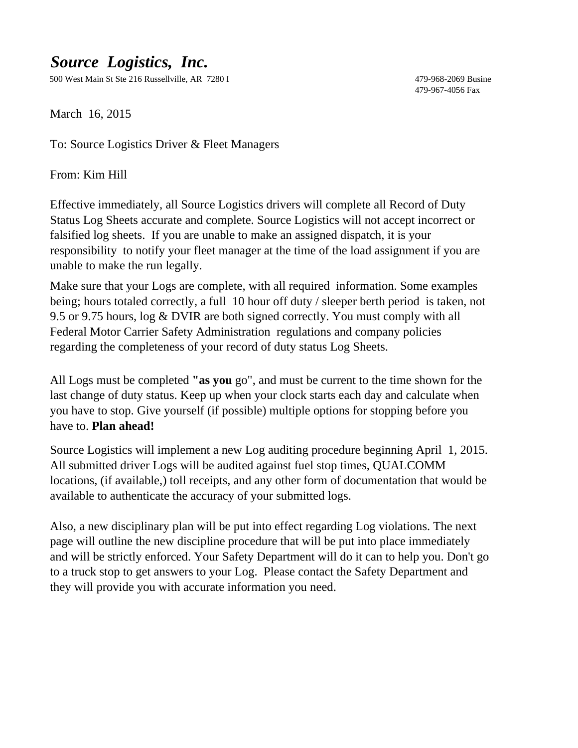# *Source Logistics, Inc.*

500 West Main St Ste 216 Russellville, AR 7280 I 479-968-2069 Busine

479-967-4056 Fax

March 16, 2015

To: Source Logistics Driver & Fleet Managers

From: Kim Hill

Effective immediately, all Source Logistics drivers will complete all Record of Duty Status Log Sheets accurate and complete. Source Logistics will not accept incorrect or falsified log sheets. If you are unable to make an assigned dispatch, it is your responsibility to notify your fleet manager at the time of the load assignment if you are unable to make the run legally.

Make sure that your Logs are complete, with all required information. Some examples being; hours totaled correctly, a full 10 hour off duty / sleeper berth period is taken, not 9.5 or 9.75 hours, log & DVIR are both signed correctly. You must comply with all Federal Motor Carrier Safety Administration regulations and company policies regarding the completeness of your record of duty status Log Sheets.

All Logs must be completed **"as you** go", and must be current to the time shown for the last change of duty status. Keep up when your clock starts each day and calculate when you have to stop. Give yourself (if possible) multiple options for stopping before you have to. **Plan ahead!**

Source Logistics will implement a new Log auditing procedure beginning April 1, 2015. All submitted driver Logs will be audited against fuel stop times, QUALCOMM locations, (if available,) toll receipts, and any other form of documentation that would be available to authenticate the accuracy of your submitted logs.

Also, a new disciplinary plan will be put into effect regarding Log violations. The next page will outline the new discipline procedure that will be put into place immediately and will be strictly enforced. Your Safety Department will do it can to help you. Don't go to a truck stop to get answers to your Log. Please contact the Safety Department and they will provide you with accurate information you need.